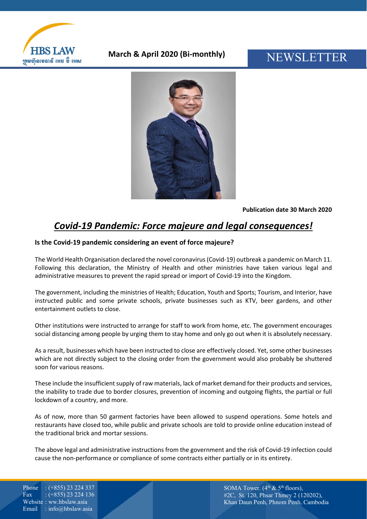

### **March & April 2020 (Bi-monthly)**

# NEWSLETTER



**Publication date 30 March 2020**

## *Covid-19 Pandemic: Force majeure and legal consequences!*

#### **Is the Covid-19 pandemic considering an event of force majeure?**

The World Health Organisation declared the novel coronavirus (Covid-19) outbreak a pandemic on March 11. Following this declaration, the Ministry of Health and other ministries have taken various legal and administrative measures to prevent the rapid spread or import of Covid-19 into the Kingdom.

The government, including the ministries of Health; Education, Youth and Sports; Tourism, and Interior, have instructed public and some private schools, private businesses such as KTV, beer gardens, and other entertainment outlets to close.

Other institutions were instructed to arrange for staff to work from home, etc. The government encourages social distancing among people by urging them to stay home and only go out when it is absolutely necessary.

As a result, businesses which have been instructed to close are effectively closed. Yet, some other businesses which are not directly subject to the closing order from the government would also probably be shuttered soon for various reasons.

These include the insufficient supply of raw materials, lack of market demand for their products and services, the inability to trade due to border closures, prevention of incoming and outgoing flights, the partial or full lockdown of a country, and more.

As of now, more than 50 garment factories have been allowed to suspend operations. Some hotels and restaurants have closed too, while public and private schools are told to provide online education instead of the traditional brick and mortar sessions.

The above legal and administrative instructions from the government and the risk of Covid-19 infection could cause the non-performance or compliance of some contracts either partially or in its entirety.

Phone : (+855) 23 224 337 Fax :  $(+855)$  23 224 136 Website : ww.hbslaw.asia Email : info@hbslaw.asia

SOMA Tower.  $(4^{th} \& 5^{th}$  floors), #2C, St. 120, Phsar Thmey 2 (120202), Khan Daun Penh, Phnom Penh, Cambodia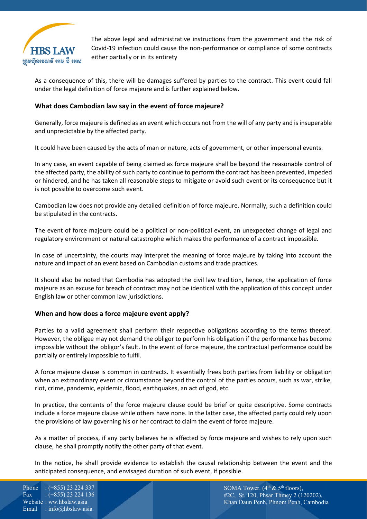

The above legal and administrative instructions from the government and the risk of Covid-19 infection could cause the non-performance or compliance of some contracts either partially or in its entirety

As a consequence of this, there will be damages suffered by parties to the contract. This event could fall under the legal definition of force majeure and is further explained below.

#### **What does Cambodian law say in the event of force majeure?**

Generally, force majeure is defined as an event which occurs not from the will of any party and is insuperable and unpredictable by the affected party.

It could have been caused by the acts of man or nature, acts of government, or other impersonal events.

In any case, an event capable of being claimed as force majeure shall be beyond the reasonable control of the affected party, the ability of such party to continue to perform the contract has been prevented, impeded or hindered, and he has taken all reasonable steps to mitigate or avoid such event or its consequence but it is not possible to overcome such event.

Cambodian law does not provide any detailed definition of force majeure. Normally, such a definition could be stipulated in the contracts.

The event of force majeure could be a political or non-political event, an unexpected change of legal and regulatory environment or natural catastrophe which makes the performance of a contract impossible.

In case of uncertainty, the courts may interpret the meaning of force majeure by taking into account the nature and impact of an event based on Cambodian customs and trade practices.

It should also be noted that Cambodia has adopted the civil law tradition, hence, the application of force majeure as an excuse for breach of contract may not be identical with the application of this concept under English law or other common law jurisdictions.

#### **When and how does a force majeure event apply?**

Parties to a valid agreement shall perform their respective obligations according to the terms thereof. However, the obligee may not demand the obligor to perform his obligation if the performance has become impossible without the obligor's fault. In the event of force majeure, the contractual performance could be partially or entirely impossible to fulfil.

A force majeure clause is common in contracts. It essentially frees both parties from liability or obligation when an extraordinary event or circumstance beyond the control of the parties occurs, such as war, strike, riot, crime, pandemic, epidemic, flood, earthquakes, an act of god, etc.

In practice, the contents of the force majeure clause could be brief or quite descriptive. Some contracts include a force majeure clause while others have none. In the latter case, the affected party could rely upon the provisions of law governing his or her contract to claim the event of force majeure.

As a matter of process, if any party believes he is affected by force majeure and wishes to rely upon such clause, he shall promptly notify the other party of that event.

In the notice, he shall provide evidence to establish the causal relationship between the event and the anticipated consequence, and envisaged duration of such event, if possible.

Phone : (+855) 23 224 337 Fax:  $:(+855)$  23 224 136 Website : ww.hbslaw.asia Email : info@hbslaw.asia

SOMA Tower.  $(4<sup>th</sup> \& 5<sup>th</sup> floors)$ , #2C, St. 120, Phsar Thmey 2 (120202), Khan Daun Penh, Phnom Penh, Cambodia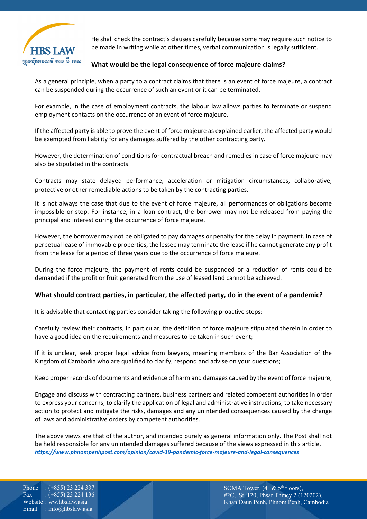

He shall check the contract's clauses carefully because some may require such notice to be made in writing while at other times, verbal communication is legally sufficient.

#### **What would be the legal consequence of force majeure claims?**

As a general principle, when a party to a contract claims that there is an event of force majeure, a contract can be suspended during the occurrence of such an event or it can be terminated.

For example, in the case of employment contracts, the labour law allows parties to terminate or suspend employment contacts on the occurrence of an event of force majeure.

If the affected party is able to prove the event of force majeure as explained earlier, the affected party would be exempted from liability for any damages suffered by the other contracting party.

However, the determination of conditions for contractual breach and remedies in case of force majeure may also be stipulated in the contracts.

Contracts may state delayed performance, acceleration or mitigation circumstances, collaborative, protective or other remediable actions to be taken by the contracting parties.

It is not always the case that due to the event of force majeure, all performances of obligations become impossible or stop. For instance, in a loan contract, the borrower may not be released from paying the principal and interest during the occurrence of force majeure.

However, the borrower may not be obligated to pay damages or penalty for the delay in payment. In case of perpetual lease of immovable properties, the lessee may terminate the lease if he cannot generate any profit from the lease for a period of three years due to the occurrence of force majeure.

During the force majeure, the payment of rents could be suspended or a reduction of rents could be demanded if the profit or fruit generated from the use of leased land cannot be achieved.

#### **What should contract parties, in particular, the affected party, do in the event of a pandemic?**

It is advisable that contacting parties consider taking the following proactive steps:

Carefully review their contracts, in particular, the definition of force majeure stipulated therein in order to have a good idea on the requirements and measures to be taken in such event;

If it is unclear, seek proper legal advice from lawyers, meaning members of the Bar Association of the Kingdom of Cambodia who are qualified to clarify, respond and advise on your questions;

Keep proper records of documents and evidence of harm and damages caused by the event of force majeure;

Engage and discuss with contracting partners, business partners and related competent authorities in order to express your concerns, to clarify the application of legal and administrative instructions, to take necessary action to protect and mitigate the risks, damages and any unintended consequences caused by the change of laws and administrative orders by competent authorities.

The above views are that of the author, and intended purely as general information only. The Post shall not be held responsible for any unintended damages suffered because of the views expressed in this article. *<https://www.phnompenhpost.com/opinion/covid-19-pandemic-force-majeure-and-legal-consequences>*

Phone : (+855) 23 224 337 Fax :  $(+855)$  23 224 136 Website : ww.hbslaw.asia Email : info@hbslaw.asia

SOMA Tower.  $(4<sup>th</sup> \& 5<sup>th</sup>$  floors), #2C, St. 120, Phsar Thmey 2 (120202), Khan Daun Penh, Phnom Penh, Cambodia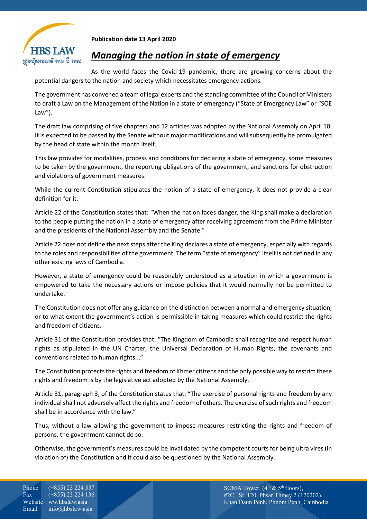

**Publication date 13 April 2020** 

### *Managing the nation in state of emergency*

As the world faces the Covid-19 pandemic, there are growing concerns about the potential dangers to the nation and society which necessitates emergency actions.

The government has convened a team of legal experts and the standing committee of the Council of Ministers to draft a Law on the Management of the Nation in a state of emergency ("State of Emergency Law" or "SOE Law").

The draft law comprising of five chapters and 12 articles was adopted by the National Assembly on April 10. It is expected to be passed by the Senate without major modifications and will subsequently be promulgated by the head of state within the month itself.

This law provides for modalities, process and conditions for declaring a state of emergency, some measures to be taken by the government, the reporting obligations of the government, and sanctions for obstruction and violations of government measures.

While the current Constitution stipulates the notion of a state of emergency, it does not provide a clear definition for it.

Article 22 of the Constitution states that: "When the nation faces danger, the King shall make a declaration to the people putting the nation in a state of emergency after receiving agreement from the Prime Minister and the presidents of the National Assembly and the Senate."

Article 22 does not define the next steps after the King declares a state of emergency, especially with regards to the roles and responsibilities of the government. The term "state of emergency" itself is not defined in any other existing laws of Cambodia.

However, a state of emergency could be reasonably understood as a situation in which a government is empowered to take the necessary actions or impose policies that it would normally not be permitted to undertake.

The Constitution does not offer any guidance on the distinction between a normal and emergency situation, or to what extent the government's action is permissible in taking measures which could restrict the rights and freedom of citizens.

Article 31 of the Constitution provides that: "The Kingdom of Cambodia shall recognize and respect human rights as stipulated in the UN Charter, the Universal Declaration of Human Rights, the covenants and conventions related to human rights..."

The Constitution protects the rights and freedom of Khmer citizens and the only possible way to restrict these rights and freedom is by the legislative act adopted by the National Assembly.

Article 31, paragraph 3, of the Constitution states that: "The exercise of personal rights and freedom by any individual shall not adversely affect the rights and freedom of others. The exercise of such rights and freedom shall be in accordance with the law."

Thus, without a law allowing the government to impose measures restricting the rights and freedom of persons, the government cannot do so.

Otherwise, the government's measures could be invalidated by the competent courts for being ultra vires (in violation of) the Constitution and it could also be questioned by the National Assembly.

Phone : (+855) 23 224 337 Fax :  $(+855)$  23 224 136 Website : ww.hbslaw.asia Email : info@hbslaw.asia

SOMA Tower.  $(4<sup>th</sup> \& 5<sup>th</sup>$  floors), #2C, St. 120, Phsar Thmey 2 (120202), Khan Daun Penh, Phnom Penh, Cambodia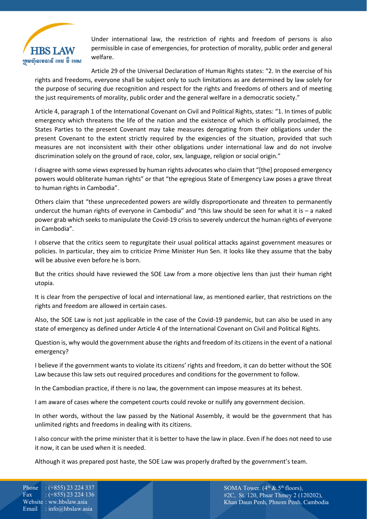

Under international law, the restriction of rights and freedom of persons is also permissible in case of emergencies, for protection of morality, public order and general welfare.

Article 29 of the Universal Declaration of Human Rights states: "2. In the exercise of his rights and freedoms, everyone shall be subject only to such limitations as are determined by law solely for the purpose of securing due recognition and respect for the rights and freedoms of others and of meeting the just requirements of morality, public order and the general welfare in a democratic society."

Article 4, paragraph 1 of the International Covenant on Civil and Political Rights, states: "1. In times of public emergency which threatens the life of the nation and the existence of which is officially proclaimed, the States Parties to the present Covenant may take measures derogating from their obligations under the present Covenant to the extent strictly required by the exigencies of the situation, provided that such measures are not inconsistent with their other obligations under international law and do not involve discrimination solely on the ground of race, color, sex, language, religion or social origin."

I disagree with some views expressed by human rights advocates who claim that "[the] proposed emergency powers would obliterate human rights" or that "the egregious State of Emergency Law poses a grave threat to human rights in Cambodia".

Others claim that "these unprecedented powers are wildly disproportionate and threaten to permanently undercut the human rights of everyone in Cambodia" and "this law should be seen for what it is – a naked power grab which seeks to manipulate the Covid-19 crisis to severely undercut the human rights of everyone in Cambodia".

I observe that the critics seem to regurgitate their usual political attacks against government measures or policies. In particular, they aim to criticize Prime Minister Hun Sen. It looks like they assume that the baby will be abusive even before he is born.

But the critics should have reviewed the SOE Law from a more objective lens than just their human right utopia.

It is clear from the perspective of local and international law, as mentioned earlier, that restrictions on the rights and freedom are allowed in certain cases.

Also, the SOE Law is not just applicable in the case of the Covid-19 pandemic, but can also be used in any state of emergency as defined under Article 4 of the International Covenant on Civil and Political Rights.

Question is, why would the government abuse the rights and freedom of its citizens in the event of a national emergency?

I believe if the government wants to violate its citizens' rights and freedom, it can do better without the SOE Law because this law sets out required procedures and conditions for the government to follow.

In the Cambodian practice, if there is no law, the government can impose measures at its behest.

I am aware of cases where the competent courts could revoke or nullify any government decision.

In other words, without the law passed by the National Assembly, it would be the government that has unlimited rights and freedoms in dealing with its citizens.

I also concur with the prime minister that it is better to have the law in place. Even if he does not need to use it now, it can be used when it is needed.

Although it was prepared post haste, the SOE Law was properly drafted by the government's team.

Phone : (+855) 23 224 337 Fax:  $:(+855)$  23 224 136 Website : ww.hbslaw.asia Email : info@hbslaw.asia

SOMA Tower.  $(4^{th} \& 5^{th}$  floors), #2C, St. 120, Phsar Thmey 2 (120202), Khan Daun Penh, Phnom Penh, Cambodia